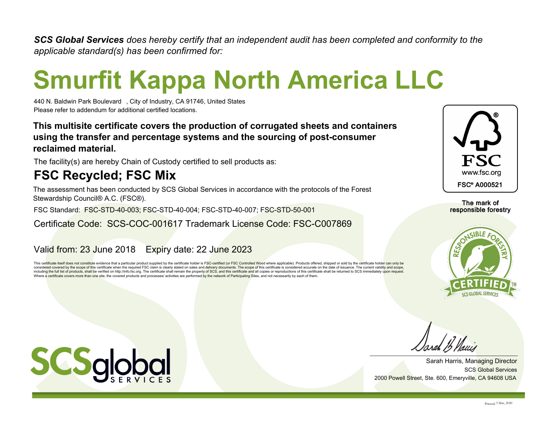*SCS Global Services does hereby certify that an independent audit has been completed and conformity to the applicable standard(s) has been confirmed for:*

# **Smurfit Kappa North America LLC**

440 N. Baldwin Park Boulevard□, City of Industry, CA 91746, United States Please refer to addendum for additional certified locations.

**This multisite certificate covers the production of corrugated sheets and containers using the transfer and percentage systems and the sourcing of post-consumer reclaimed material.**

The facility(s) are hereby Chain of Custody certified to sell products as:

### **FSC Recycled; FSC Mix**

The assessment has been conducted by SCS Global Services in accordance with the protocols of the Forest Stewardship Council® A.C. (FSC®).

FSC Standard: FSC-STD-40-003; FSC-STD-40-004; FSC-STD-40-007; FSC-STD-50-001

#### Certificate Code: SCS-COC-001617 Trademark License Code: FSC-C007869

#### Valid from: 23 June 2018 Expiry date: 22 June 2023

This certificate itself does not constitute evidence that a particular product supplied by the certificate holder is FSC-certified (or FSC Controlled Wood where applicable). Products offered, shipped or sold by the certifi considered covered by the scope of this certificate when the required FSC claim is clearly stated on sales and delivery documents. The scope of this certificate is considered accurate on the date of issuance. The current v including the full list of products, shall be verified on http://info.fsc.org. The certificate shall remain the property of SCS, and this certificate and all copies or reproductions of this certificate shall be returned to Where a certificate covers more than one site, the covered products and processes/ activities are performed by the network of Participating Sites, and not necessarily by each of them.



The mark of responsible forestry



SCS Global Services Sarah Harris, Managing Director 2000 Powell Street, Ste. 600, Emeryville, CA 94608 USA

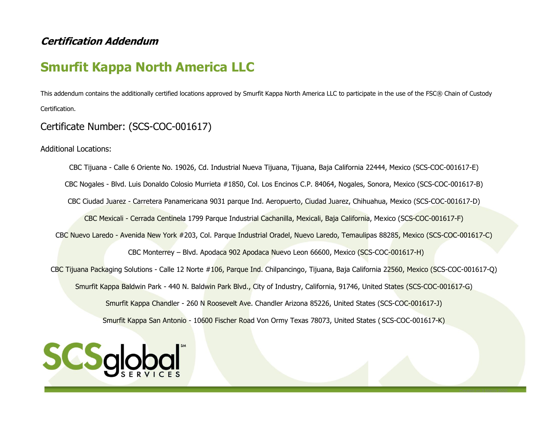#### **Certification Addendum**

## **Smurfit Kappa North America LLC**

This addendum contains the additionally certified locations approved by Smurfit Kappa North America LLC to participate in the use of the FSC® Chain of Custody Certification.

#### Certificate Number: (SCS-COC-001617)

Additional Locations:

CBC Tijuana - Calle 6 Oriente No. 19026, Cd. Industrial Nueva Tijuana, Tijuana, Baja California 22444, Mexico (SCS-COC-001617-E) CBC Nogales - Blvd. Luis Donaldo Colosio Murrieta #1850, Col. Los Encinos C.P. 84064, Nogales, Sonora, Mexico (SCS-COC-001617-B) CBC Ciudad Juarez - Carretera Panamericana 9031 parque Ind. Aeropuerto, Ciudad Juarez, Chihuahua, Mexico (SCS-COC-001617-D) CBC Mexicali - Cerrada Centinela 1799 Parque Industrial Cachanilla, Mexicali, Baja California, Mexico (SCS-COC-001617-F) CBC Nuevo Laredo - Avenida New York #203, Col. Parque Industrial Oradel, Nuevo Laredo, Temaulipas 88285, Mexico (SCS-COC-001617-C) CBC Monterrey – Blvd. Apodaca 902 Apodaca Nuevo Leon 66600, Mexico (SCS-COC-001617-H) CBC Tijuana Packaging Solutions - Calle 12 Norte #106, Parque Ind. Chilpancingo, Tijuana, Baja California 22560, Mexico (SCS-COC-001617-Q) Smurfit Kappa Baldwin Park - 440 N. Baldwin Park Blvd., City of Industry, California, 91746, United States (SCS-COC-001617-G) Smurfit Kappa Chandler - 260 N Roosevelt Ave. Chandler Arizona 85226, United States (SCS-COC-001617-J) Smurfit Kappa San Antonio - 10600 Fischer Road Von Ormy Texas 78073, United States ( SCS-COC-001617-K)

Created on 3 March 2020